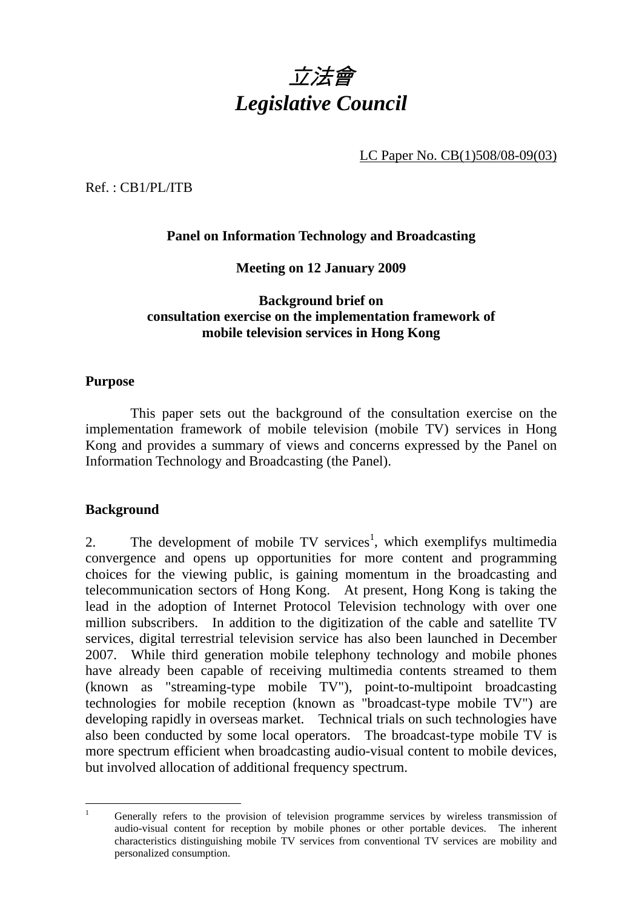

LC Paper No. CB(1)508/08-09(03)

Ref. : CB1/PL/ITB

# **Panel on Information Technology and Broadcasting**

### **Meeting on 12 January 2009**

### **Background brief on consultation exercise on the implementation framework of mobile television services in Hong Kong**

#### **Purpose**

 This paper sets out the background of the consultation exercise on the implementation framework of mobile television (mobile TV) services in Hong Kong and provides a summary of views and concerns expressed by the Panel on Information Technology and Broadcasting (the Panel).

### **Background**

2. The development of mobile  $TV$  services<sup>1</sup>, which exemplifys multimedia convergence and opens up opportunities for more content and programming choices for the viewing public, is gaining momentum in the broadcasting and telecommunication sectors of Hong Kong. At present, Hong Kong is taking the lead in the adoption of Internet Protocol Television technology with over one million subscribers. In addition to the digitization of the cable and satellite TV services, digital terrestrial television service has also been launched in December 2007. While third generation mobile telephony technology and mobile phones have already been capable of receiving multimedia contents streamed to them (known as "streaming-type mobile TV"), point-to-multipoint broadcasting technologies for mobile reception (known as "broadcast-type mobile TV") are developing rapidly in overseas market. Technical trials on such technologies have also been conducted by some local operators. The broadcast-type mobile TV is more spectrum efficient when broadcasting audio-visual content to mobile devices, but involved allocation of additional frequency spectrum.

 $\frac{1}{1}$  Generally refers to the provision of television programme services by wireless transmission of audio-visual content for reception by mobile phones or other portable devices. The inherent characteristics distinguishing mobile TV services from conventional TV services are mobility and personalized consumption.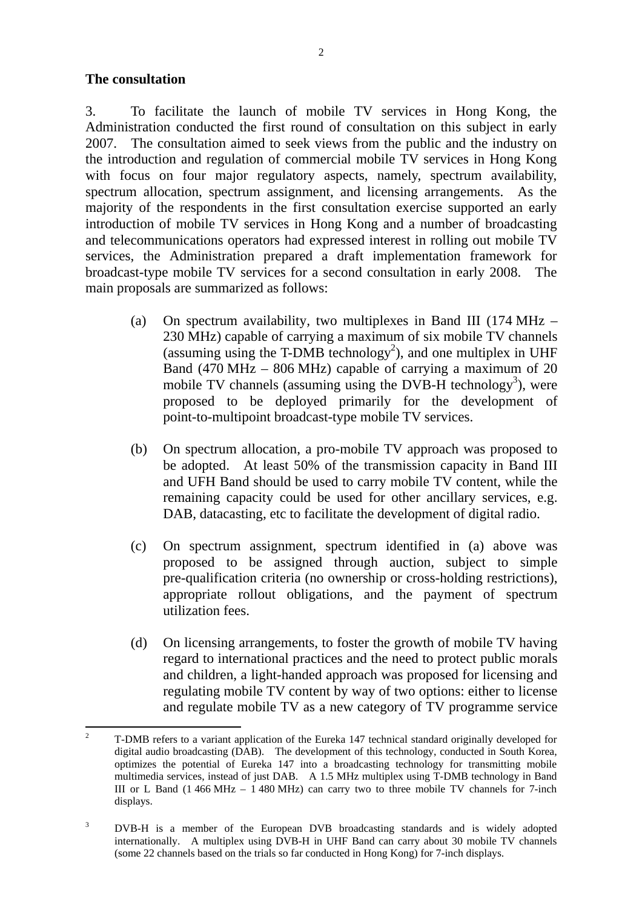#### **The consultation**

3. To facilitate the launch of mobile TV services in Hong Kong, the Administration conducted the first round of consultation on this subject in early 2007. The consultation aimed to seek views from the public and the industry on the introduction and regulation of commercial mobile TV services in Hong Kong with focus on four major regulatory aspects, namely, spectrum availability, spectrum allocation, spectrum assignment, and licensing arrangements. As the majority of the respondents in the first consultation exercise supported an early introduction of mobile TV services in Hong Kong and a number of broadcasting and telecommunications operators had expressed interest in rolling out mobile TV services, the Administration prepared a draft implementation framework for broadcast-type mobile TV services for a second consultation in early 2008. The main proposals are summarized as follows:

- (a) On spectrum availability*,* two multiplexes in Band III (174 MHz 230 MHz) capable of carrying a maximum of six mobile TV channels (assuming using the T-DMB technology<sup>2</sup>), and one multiplex in UHF Band (470 MHz – 806 MHz) capable of carrying a maximum of 20 mobile TV channels (assuming using the DVB-H technology<sup>3</sup>), were proposed to be deployed primarily for the development of point-to-multipoint broadcast-type mobile TV services.
- (b) On spectrum allocation, a pro-mobile TV approach was proposed to be adopted. At least 50% of the transmission capacity in Band III and UFH Band should be used to carry mobile TV content, while the remaining capacity could be used for other ancillary services, e.g. DAB, datacasting, etc to facilitate the development of digital radio.
- (c) On spectrum assignment, spectrum identified in (a) above was proposed to be assigned through auction, subject to simple pre-qualification criteria (no ownership or cross-holding restrictions), appropriate rollout obligations, and the payment of spectrum utilization fees.
- (d) On licensing arrangements, to foster the growth of mobile TV having regard to international practices and the need to protect public morals and children, a light-handed approach was proposed for licensing and regulating mobile TV content by way of two options: either to license and regulate mobile TV as a new category of TV programme service

 $\frac{1}{2}$  T-DMB refers to a variant application of the Eureka 147 technical standard originally developed for digital audio broadcasting (DAB). The development of this technology, conducted in South Korea, optimizes the potential of Eureka 147 into a broadcasting technology for transmitting mobile multimedia services, instead of just DAB. A 1.5 MHz multiplex using T-DMB technology in Band III or L Band (1 466 MHz – 1 480 MHz) can carry two to three mobile TV channels for 7-inch displays.

<sup>3</sup> DVB-H is a member of the European DVB broadcasting standards and is widely adopted internationally. A multiplex using DVB-H in UHF Band can carry about 30 mobile TV channels (some 22 channels based on the trials so far conducted in Hong Kong) for 7-inch displays.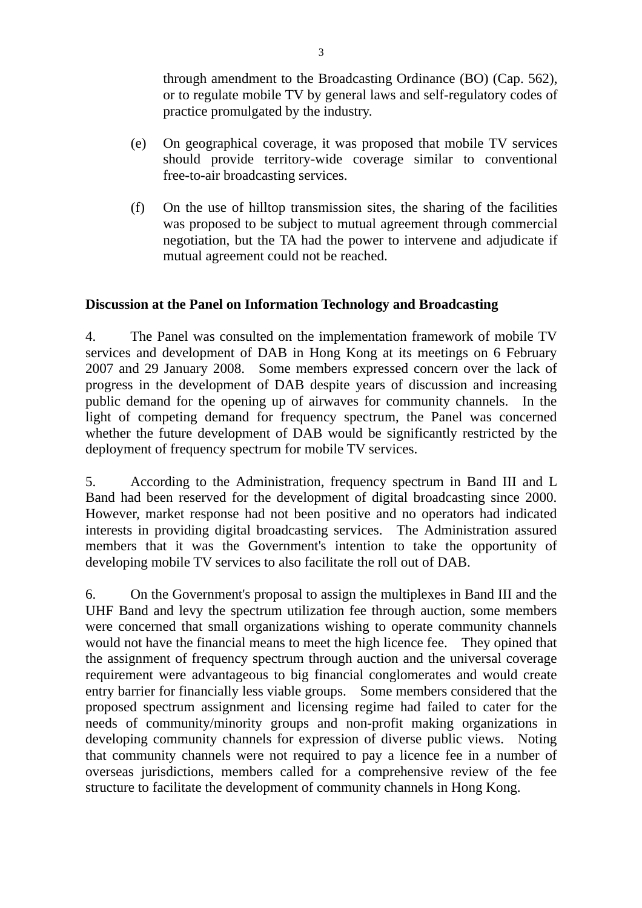through amendment to the Broadcasting Ordinance (BO) (Cap. 562), or to regulate mobile TV by general laws and self-regulatory codes of practice promulgated by the industry.

- (e) On geographical coverage, it was proposed that mobile TV services should provide territory-wide coverage similar to conventional free-to-air broadcasting services.
- (f) On the use of hilltop transmission sites, the sharing of the facilities was proposed to be subject to mutual agreement through commercial negotiation, but the TA had the power to intervene and adjudicate if mutual agreement could not be reached.

# **Discussion at the Panel on Information Technology and Broadcasting**

4. The Panel was consulted on the implementation framework of mobile TV services and development of DAB in Hong Kong at its meetings on 6 February 2007 and 29 January 2008. Some members expressed concern over the lack of progress in the development of DAB despite years of discussion and increasing public demand for the opening up of airwaves for community channels. In the light of competing demand for frequency spectrum, the Panel was concerned whether the future development of DAB would be significantly restricted by the deployment of frequency spectrum for mobile TV services.

5. According to the Administration, frequency spectrum in Band III and L Band had been reserved for the development of digital broadcasting since 2000. However, market response had not been positive and no operators had indicated interests in providing digital broadcasting services. The Administration assured members that it was the Government's intention to take the opportunity of developing mobile TV services to also facilitate the roll out of DAB.

6. On the Government's proposal to assign the multiplexes in Band III and the UHF Band and levy the spectrum utilization fee through auction, some members were concerned that small organizations wishing to operate community channels would not have the financial means to meet the high licence fee. They opined that the assignment of frequency spectrum through auction and the universal coverage requirement were advantageous to big financial conglomerates and would create entry barrier for financially less viable groups. Some members considered that the proposed spectrum assignment and licensing regime had failed to cater for the needs of community/minority groups and non-profit making organizations in developing community channels for expression of diverse public views. Noting that community channels were not required to pay a licence fee in a number of overseas jurisdictions, members called for a comprehensive review of the fee structure to facilitate the development of community channels in Hong Kong.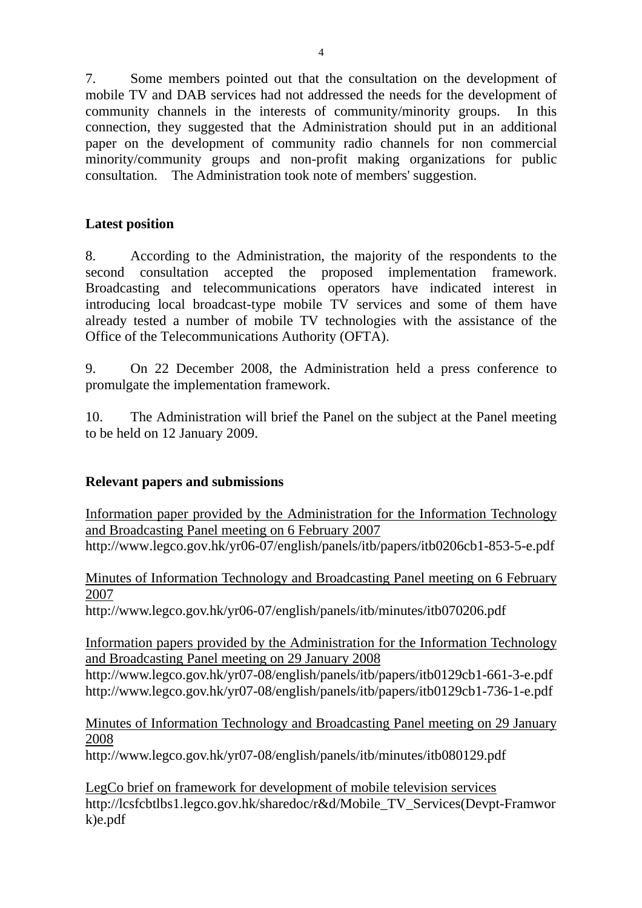7. Some members pointed out that the consultation on the development of mobile TV and DAB services had not addressed the needs for the development of community channels in the interests of community/minority groups. In this connection, they suggested that the Administration should put in an additional paper on the development of community radio channels for non commercial minority/community groups and non-profit making organizations for public consultation. The Administration took note of members' suggestion.

## **Latest position**

8. According to the Administration, the majority of the respondents to the second consultation accepted the proposed implementation framework. Broadcasting and telecommunications operators have indicated interest in introducing local broadcast-type mobile TV services and some of them have already tested a number of mobile TV technologies with the assistance of the Office of the Telecommunications Authority (OFTA).

9. On 22 December 2008, the Administration held a press conference to promulgate the implementation framework.

10. The Administration will brief the Panel on the subject at the Panel meeting to be held on 12 January 2009.

### **Relevant papers and submissions**

Information paper provided by the Administration for the Information Technology and Broadcasting Panel meeting on 6 February 2007 http://www.legco.gov.hk/yr06-07/english/panels/itb/papers/itb0206cb1-853-5-e.pdf

Minutes of Information Technology and Broadcasting Panel meeting on 6 February 2007

http://www.legco.gov.hk/yr06-07/english/panels/itb/minutes/itb070206.pdf

Information papers provided by the Administration for the Information Technology and Broadcasting Panel meeting on 29 January 2008

http://www.legco.gov.hk/yr07-08/english/panels/itb/papers/itb0129cb1-661-3-e.pdf http://www.legco.gov.hk/yr07-08/english/panels/itb/papers/itb0129cb1-736-1-e.pdf

Minutes of Information Technology and Broadcasting Panel meeting on 29 January 2008

http://www.legco.gov.hk/yr07-08/english/panels/itb/minutes/itb080129.pdf

LegCo brief on framework for development of mobile television services http://lcsfcbtlbs1.legco.gov.hk/sharedoc/r&d/Mobile\_TV\_Services(Devpt-Framwor k)e.pdf